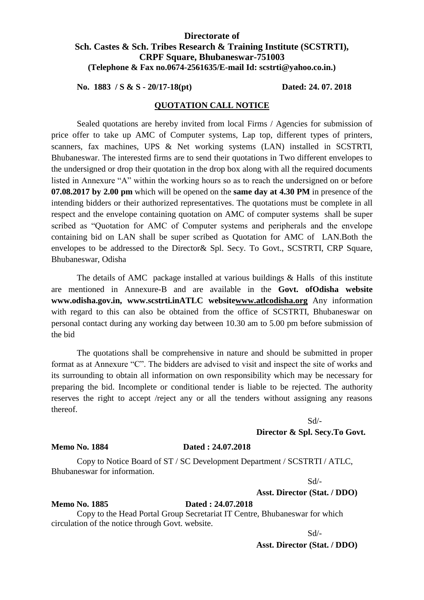# **Directorate of Sch. Castes & Sch. Tribes Research & Training Institute (SCSTRTI), CRPF Square, Bhubaneswar-751003 (Telephone & Fax no.0674-2561635/E-mail Id: scstrti@yahoo.co.in.)**

**No. 1883 / S & S - 20/17-18(pt) Dated: 24. 07. 2018**

## **QUOTATION CALL NOTICE**

Sealed quotations are hereby invited from local Firms / Agencies for submission of price offer to take up AMC of Computer systems, Lap top, different types of printers, scanners, fax machines, UPS & Net working systems (LAN) installed in SCSTRTI, Bhubaneswar. The interested firms are to send their quotations in Two different envelopes to the undersigned or drop their quotation in the drop box along with all the required documents listed in Annexure "A" within the working hours so as to reach the undersigned on or before **07.08.2017 by 2.00 pm** which will be opened on the **same day at 4.30 PM** in presence of the intending bidders or their authorized representatives. The quotations must be complete in all respect and the envelope containing quotation on AMC of computer systems shall be super scribed as "Quotation for AMC of Computer systems and peripherals and the envelope containing bid on LAN shall be super scribed as Quotation for AMC of LAN.Both the envelopes to be addressed to the Director& Spl. Secy. To Govt., SCSTRTI, CRP Square, Bhubaneswar, Odisha

The details of AMC package installed at various buildings & Halls of this institute are mentioned in Annexure-B and are available in the **Govt. ofOdisha website www.odisha.gov.in, www.scstrti.inATLC websit[ewww.atlcodisha.org](http://www.atlcodisha.org/)** Any information with regard to this can also be obtained from the office of SCSTRTI, Bhubaneswar on personal contact during any working day between 10.30 am to 5.00 pm before submission of the bid

The quotations shall be comprehensive in nature and should be submitted in proper format as at Annexure "C". The bidders are advised to visit and inspect the site of works and its surrounding to obtain all information on own responsibility which may be necessary for preparing the bid. Incomplete or conditional tender is liable to be rejected. The authority reserves the right to accept /reject any or all the tenders without assigning any reasons thereof.

## Sd/-

**Director & Spl. Secy.To Govt.**

### **Memo No. 1884 Dated : 24.07.2018**

Copy to Notice Board of ST / SC Development Department / SCSTRTI / ATLC, Bhubaneswar for information.

Sd/-

## **Asst. Director (Stat. / DDO)**

Copy to the Head Portal Group Secretariat IT Centre, Bhubaneswar for which circulation of the notice through Govt. website.

**Memo No. 1885 Dated : 24.07.2018**

Sd/-

**Asst. Director (Stat. / DDO)**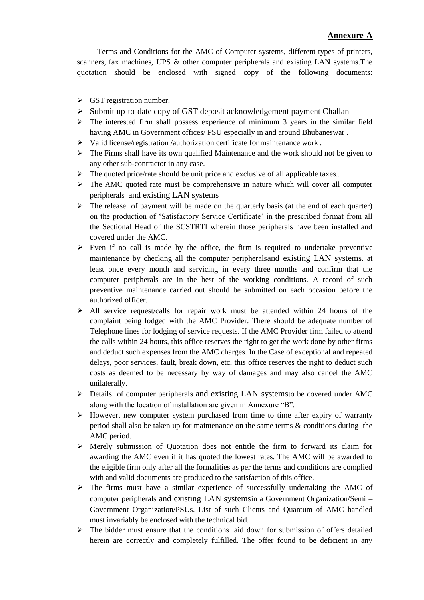Terms and Conditions for the AMC of Computer systems, different types of printers, scanners, fax machines, UPS & other computer peripherals and existing LAN systems.The quotation should be enclosed with signed copy of the following documents:

- $\triangleright$  GST registration number.
- $\triangleright$  Submit up-to-date copy of GST deposit acknowledgement payment Challan
- $\triangleright$  The interested firm shall possess experience of minimum 3 years in the similar field having AMC in Government offices/ PSU especially in and around Bhubaneswar .
- $\triangleright$  Valid license/registration /authorization certificate for maintenance work.
- $\triangleright$  The Firms shall have its own qualified Maintenance and the work should not be given to any other sub-contractor in any case.
- $\triangleright$  The quoted price/rate should be unit price and exclusive of all applicable taxes..
- $\triangleright$  The AMC quoted rate must be comprehensive in nature which will cover all computer peripherals and existing LAN systems
- $\triangleright$  The release of payment will be made on the quarterly basis (at the end of each quarter) on the production of "Satisfactory Service Certificate" in the prescribed format from all the Sectional Head of the SCSTRTI wherein those peripherals have been installed and covered under the AMC.
- $\triangleright$  Even if no call is made by the office, the firm is required to undertake preventive maintenance by checking all the computer peripheralsand existing LAN systems. at least once every month and servicing in every three months and confirm that the computer peripherals are in the best of the working conditions. A record of such preventive maintenance carried out should be submitted on each occasion before the authorized officer.
- $\triangleright$  All service request/calls for repair work must be attended within 24 hours of the complaint being lodged with the AMC Provider. There should be adequate number of Telephone lines for lodging of service requests. If the AMC Provider firm failed to attend the calls within 24 hours, this office reserves the right to get the work done by other firms and deduct such expenses from the AMC charges. In the Case of exceptional and repeated delays, poor services, fault, break down, etc, this office reserves the right to deduct such costs as deemed to be necessary by way of damages and may also cancel the AMC unilaterally.
- $\triangleright$  Details of computer peripherals and existing LAN systems to be covered under AMC along with the location of installation are given in Annexure "B".
- $\triangleright$  However, new computer system purchased from time to time after expiry of warranty period shall also be taken up for maintenance on the same terms & conditions during the AMC period.
- $\triangleright$  Merely submission of Quotation does not entitle the firm to forward its claim for awarding the AMC even if it has quoted the lowest rates. The AMC will be awarded to the eligible firm only after all the formalities as per the terms and conditions are complied with and valid documents are produced to the satisfaction of this office.
- $\triangleright$  The firms must have a similar experience of successfully undertaking the AMC of computer peripherals and existing LAN systemsin a Government Organization/Semi – Government Organization/PSUs. List of such Clients and Quantum of AMC handled must invariably be enclosed with the technical bid.
- $\triangleright$  The bidder must ensure that the conditions laid down for submission of offers detailed herein are correctly and completely fulfilled. The offer found to be deficient in any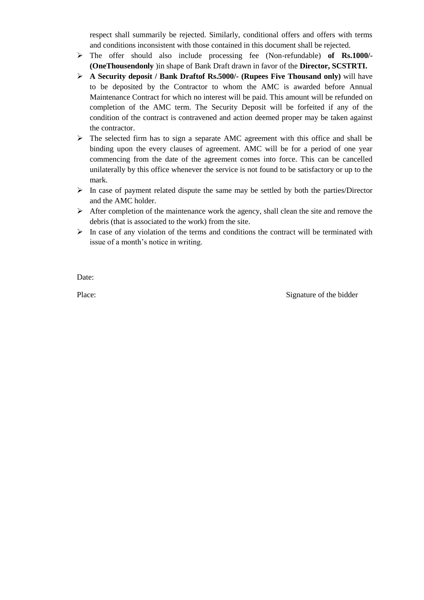respect shall summarily be rejected. Similarly, conditional offers and offers with terms and conditions inconsistent with those contained in this document shall be rejected.

- The offer should also include processing fee (Non-refundable) **of Rs.1000/- (OneThousendonly** )in shape of Bank Draft drawn in favor of the **Director, SCSTRTI.**
- **A Security deposit / Bank Draftof Rs.5000/- (Rupees Five Thousand only)** will have to be deposited by the Contractor to whom the AMC is awarded before Annual Maintenance Contract for which no interest will be paid. This amount will be refunded on completion of the AMC term. The Security Deposit will be forfeited if any of the condition of the contract is contravened and action deemed proper may be taken against the contractor.
- $\triangleright$  The selected firm has to sign a separate AMC agreement with this office and shall be binding upon the every clauses of agreement. AMC will be for a period of one year commencing from the date of the agreement comes into force. This can be cancelled unilaterally by this office whenever the service is not found to be satisfactory or up to the mark.
- $\triangleright$  In case of payment related dispute the same may be settled by both the parties/Director and the AMC holder.
- $\triangleright$  After completion of the maintenance work the agency, shall clean the site and remove the debris (that is associated to the work) from the site.
- $\triangleright$  In case of any violation of the terms and conditions the contract will be terminated with issue of a month's notice in writing.

Date:

Place: Signature of the bidder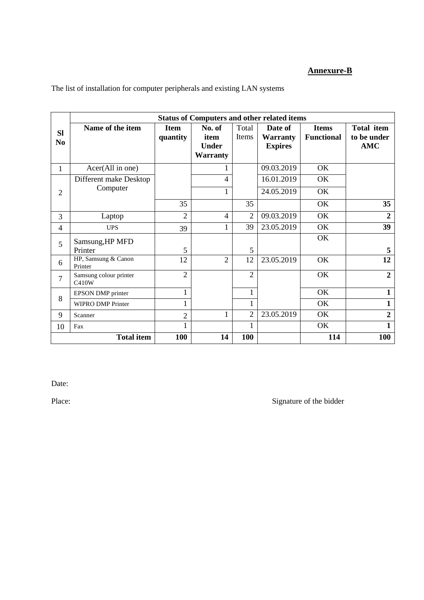# **Annexure-B**

|                             | <b>Status of Computers and other related items</b> |                         |                                                   |                |                                              |                                   |                                                |
|-----------------------------|----------------------------------------------------|-------------------------|---------------------------------------------------|----------------|----------------------------------------------|-----------------------------------|------------------------------------------------|
| <b>SI</b><br>N <sub>0</sub> | Name of the item                                   | <b>Item</b><br>quantity | No. of<br>item<br><b>Under</b><br><b>Warranty</b> | Total<br>Items | Date of<br><b>Warranty</b><br><b>Expires</b> | <b>Items</b><br><b>Functional</b> | <b>Total item</b><br>to be under<br><b>AMC</b> |
| $\mathbf{1}$                | Acer(All in one)                                   |                         | 1                                                 |                | 09.03.2019                                   | OK                                |                                                |
|                             | Different make Desktop                             |                         | $\overline{4}$                                    |                | 16.01.2019                                   | OK                                |                                                |
| $\overline{2}$              | Computer                                           |                         | $\mathbf{1}$                                      |                | 24.05.2019                                   | OK                                |                                                |
|                             |                                                    | 35                      |                                                   | 35             |                                              | OK                                | 35                                             |
| 3                           | Laptop                                             | $\overline{2}$          | $\overline{4}$                                    | $\overline{2}$ | 09.03.2019                                   | OK                                | $\overline{2}$                                 |
| $\overline{4}$              | <b>UPS</b>                                         | 39                      | 1                                                 | 39             | 23.05.2019                                   | OK                                | 39                                             |
| 5                           | Samsung, HP MFD                                    |                         |                                                   |                |                                              | OK                                |                                                |
|                             | Printer                                            | 5                       |                                                   | 5              |                                              |                                   | 5                                              |
| 6                           | HP, Samsung & Canon<br>Printer                     | 12                      | $\overline{2}$                                    | 12             | 23.05.2019                                   | OK                                | 12                                             |
| $\tau$                      | Samsung colour printer<br>C410W                    | $\overline{2}$          |                                                   | $\overline{2}$ |                                              | OK                                | $\overline{2}$                                 |
| 8                           | EPSON DMP printer                                  |                         |                                                   | 1              |                                              | OK                                | $\mathbf{1}$                                   |
|                             | <b>WIPRO DMP Printer</b>                           |                         |                                                   |                |                                              | OK                                | $\mathbf{1}$                                   |
| 9                           | Scanner                                            | $\overline{2}$          | $\mathbf{1}$                                      | $\overline{2}$ | 23.05.2019                                   | OK                                | $\boldsymbol{2}$                               |
| 10                          | Fax                                                |                         |                                                   |                |                                              | OK                                | $\mathbf{1}$                                   |
|                             | <b>Total item</b>                                  | 100                     | 14                                                | 100            |                                              | 114                               | 100                                            |

The list of installation for computer peripherals and existing LAN systems

Date:

Place: Signature of the bidder